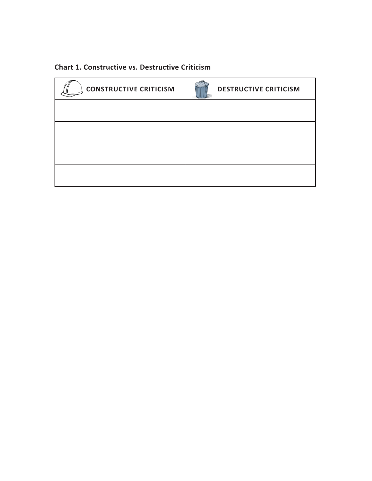### **Chart 1. Constructive vs. Destructive Criticism**

| <b>CONSTRUCTIVE CRITICISM</b> | <b>DESTRUCTIVE CRITICISM</b> |
|-------------------------------|------------------------------|
|                               |                              |
|                               |                              |
|                               |                              |
|                               |                              |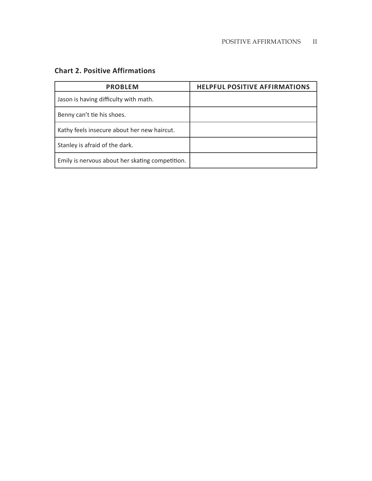### **Chart 2. Positive Affirmations**

| <b>PROBLEM</b>                                  | <b>HELPFUL POSITIVE AFFIRMATIONS</b> |
|-------------------------------------------------|--------------------------------------|
| Jason is having difficulty with math.           |                                      |
| Benny can't tie his shoes.                      |                                      |
| Kathy feels insecure about her new haircut.     |                                      |
| Stanley is afraid of the dark.                  |                                      |
| Emily is nervous about her skating competition. |                                      |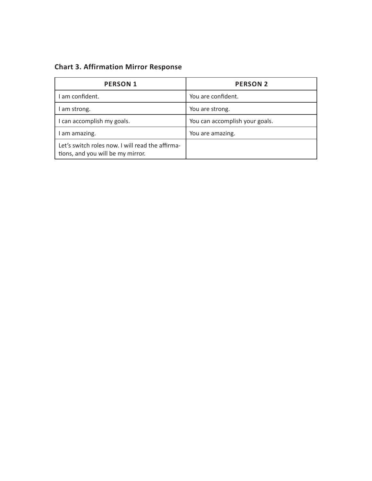**Chart 3. Affirmation Mirror Response**

| <b>PERSON 1</b>                                                                       | <b>PERSON 2</b>                |
|---------------------------------------------------------------------------------------|--------------------------------|
| am confident.                                                                         | You are confident.             |
| am strong.                                                                            | You are strong.                |
| can accomplish my goals.                                                              | You can accomplish your goals. |
| am amazing.                                                                           | You are amazing.               |
| Let's switch roles now. I will read the affirma-<br>tions, and you will be my mirror. |                                |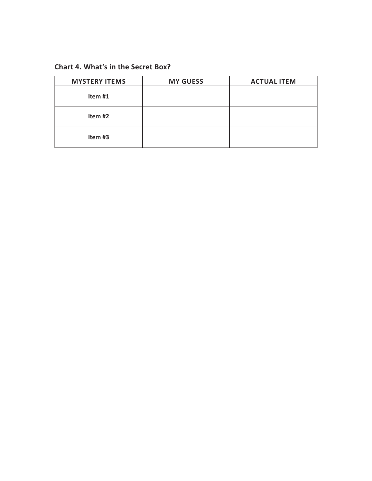#### **Chart 4. What's in the Secret Box?**

| <b>MYSTERY ITEMS</b> | <b>MY GUESS</b> | <b>ACTUAL ITEM</b> |
|----------------------|-----------------|--------------------|
| Item #1              |                 |                    |
| Item #2              |                 |                    |
| Item #3              |                 |                    |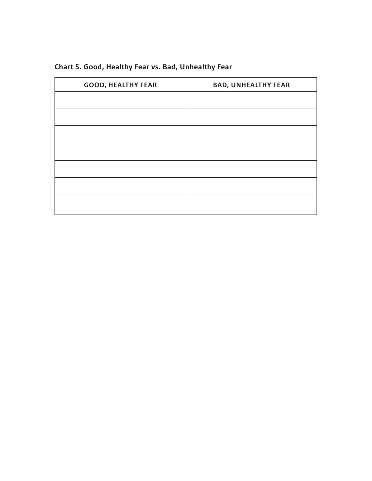| <b>GOOD, HEALTHY FEAR</b> | <b>BAD, UNHEALTHY FEAR</b> |
|---------------------------|----------------------------|
|                           |                            |
|                           |                            |
|                           |                            |
|                           |                            |
|                           |                            |
|                           |                            |
|                           |                            |

# **Chart 5. Good, Healthy Fear vs. Bad, Unhealthy Fear**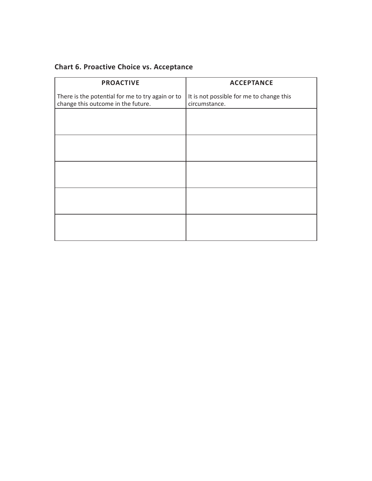## **Chart 6. Proactive Choice vs. Acceptance**

| <b>PROACTIVE</b>                                                                       | <b>ACCEPTANCE</b>                                         |
|----------------------------------------------------------------------------------------|-----------------------------------------------------------|
| There is the potential for me to try again or to<br>change this outcome in the future. | It is not possible for me to change this<br>circumstance. |
|                                                                                        |                                                           |
|                                                                                        |                                                           |
|                                                                                        |                                                           |
|                                                                                        |                                                           |
|                                                                                        |                                                           |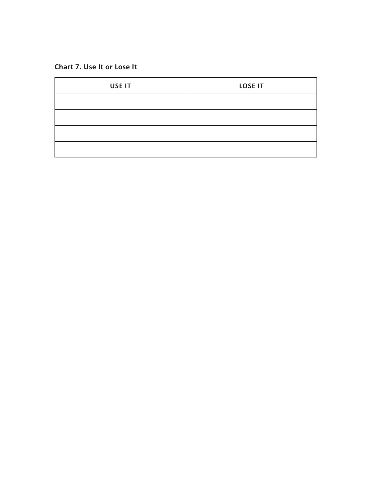#### **Chart 7. Use It or Lose It**

| USE IT | <b>LOSE IT</b> |
|--------|----------------|
|        |                |
|        |                |
|        |                |
|        |                |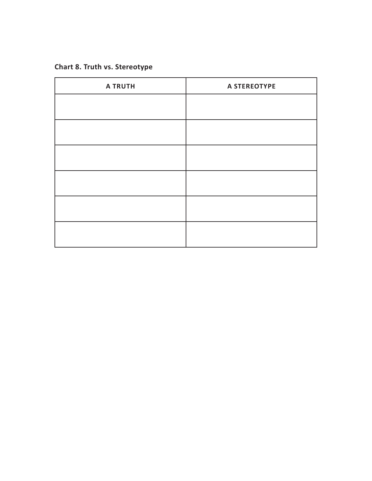## **Chart 8. Truth vs. Stereotype**

| <b>A TRUTH</b> | A STEREOTYPE |
|----------------|--------------|
|                |              |
|                |              |
|                |              |
|                |              |
|                |              |
|                |              |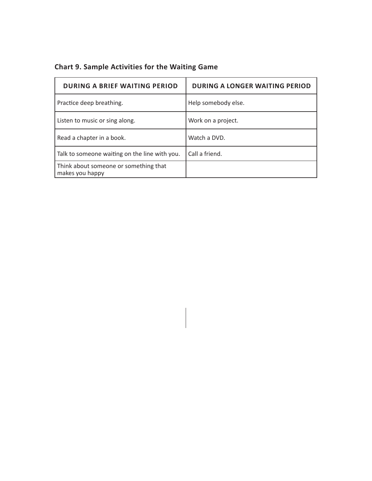|  |  | <b>Chart 9. Sample Activities for the Waiting Game</b> |  |  |  |
|--|--|--------------------------------------------------------|--|--|--|
|--|--|--------------------------------------------------------|--|--|--|

| <b>DURING A BRIEF WAITING PERIOD</b>                     | <b>DURING A LONGER WAITING PERIOD</b> |
|----------------------------------------------------------|---------------------------------------|
| Practice deep breathing.                                 | Help somebody else.                   |
| Listen to music or sing along.                           | Work on a project.                    |
| Read a chapter in a book.                                | Watch a DVD.                          |
| Talk to someone waiting on the line with you.            | Call a friend.                        |
| Think about someone or something that<br>makes you happy |                                       |